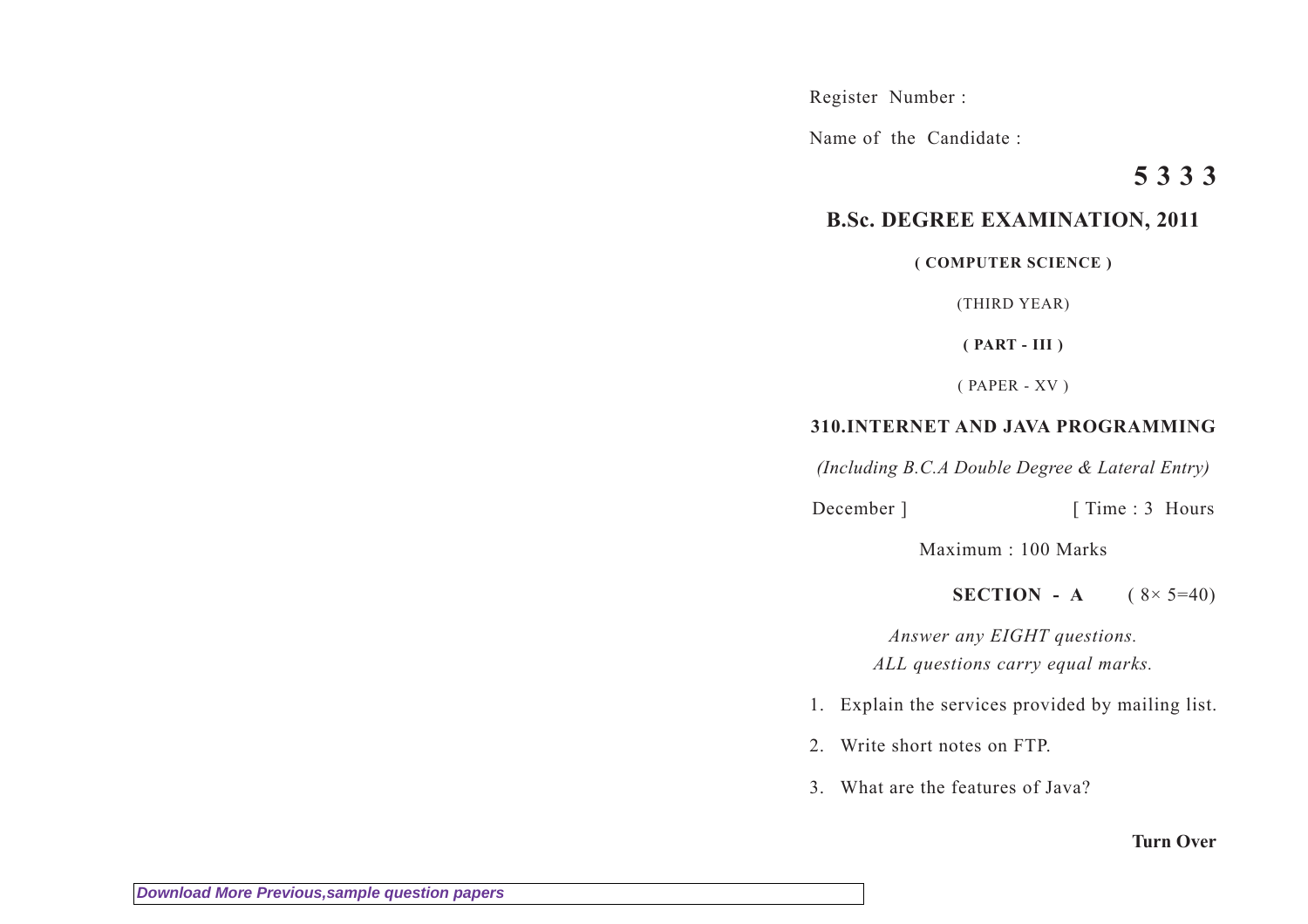Register Number :

Name of the Candidate :

# **5 3 3 3**

# **B.Sc. DEGREE EXAMINATION, 2011**

#### **( COMPUTER SCIENCE )**

(THIRD YEAR)

**( PART - III )**

( PAPER - XV )

## **310.INTERNET AND JAVA PROGRAMMING**

*(Including B.C.A Double Degree & Lateral Entry)*

December ] [ Time : 3 Hours

Maximum : 100 Marks

**SECTION** - **A**  $(8 \times 5 = 40)$ 

*Answer any EIGHT questions. ALL questions carry equal marks.*

- 1. Explain the services provided by mailing list.
- 2. Write short notes on FTP.
- 3. What are the features of Java?

### **Turn Over**